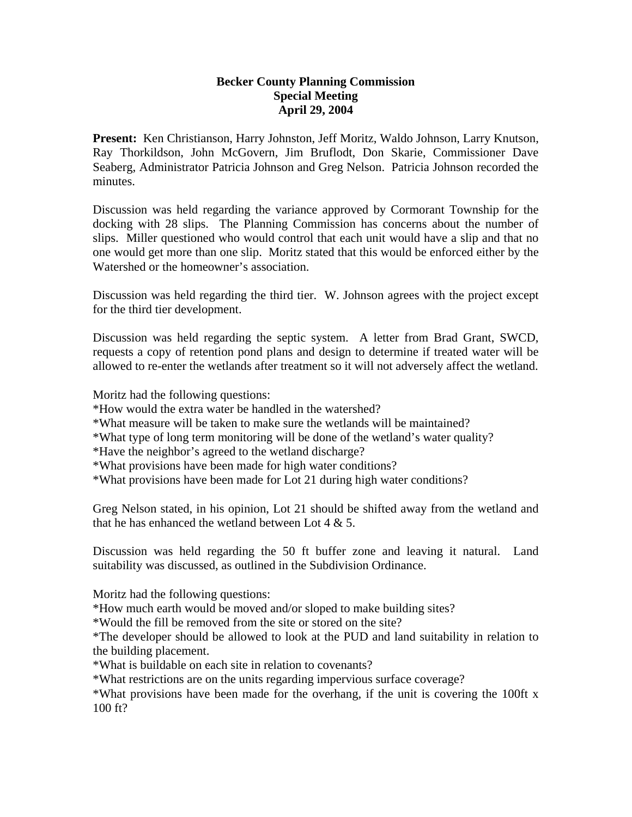## **Becker County Planning Commission Special Meeting April 29, 2004**

**Present:** Ken Christianson, Harry Johnston, Jeff Moritz, Waldo Johnson, Larry Knutson, Ray Thorkildson, John McGovern, Jim Bruflodt, Don Skarie, Commissioner Dave Seaberg, Administrator Patricia Johnson and Greg Nelson. Patricia Johnson recorded the minutes.

Discussion was held regarding the variance approved by Cormorant Township for the docking with 28 slips. The Planning Commission has concerns about the number of slips. Miller questioned who would control that each unit would have a slip and that no one would get more than one slip. Moritz stated that this would be enforced either by the Watershed or the homeowner's association.

Discussion was held regarding the third tier. W. Johnson agrees with the project except for the third tier development.

Discussion was held regarding the septic system. A letter from Brad Grant, SWCD, requests a copy of retention pond plans and design to determine if treated water will be allowed to re-enter the wetlands after treatment so it will not adversely affect the wetland.

Moritz had the following questions:

- \*How would the extra water be handled in the watershed?
- \*What measure will be taken to make sure the wetlands will be maintained?
- \*What type of long term monitoring will be done of the wetland's water quality?
- \*Have the neighbor's agreed to the wetland discharge?
- \*What provisions have been made for high water conditions?
- \*What provisions have been made for Lot 21 during high water conditions?

Greg Nelson stated, in his opinion, Lot 21 should be shifted away from the wetland and that he has enhanced the wetland between Lot  $4 \& 5$ .

Discussion was held regarding the 50 ft buffer zone and leaving it natural. Land suitability was discussed, as outlined in the Subdivision Ordinance.

Moritz had the following questions:

\*How much earth would be moved and/or sloped to make building sites?

\*Would the fill be removed from the site or stored on the site?

\*The developer should be allowed to look at the PUD and land suitability in relation to the building placement.

\*What is buildable on each site in relation to covenants?

\*What restrictions are on the units regarding impervious surface coverage?

\*What provisions have been made for the overhang, if the unit is covering the 100ft x 100 ft?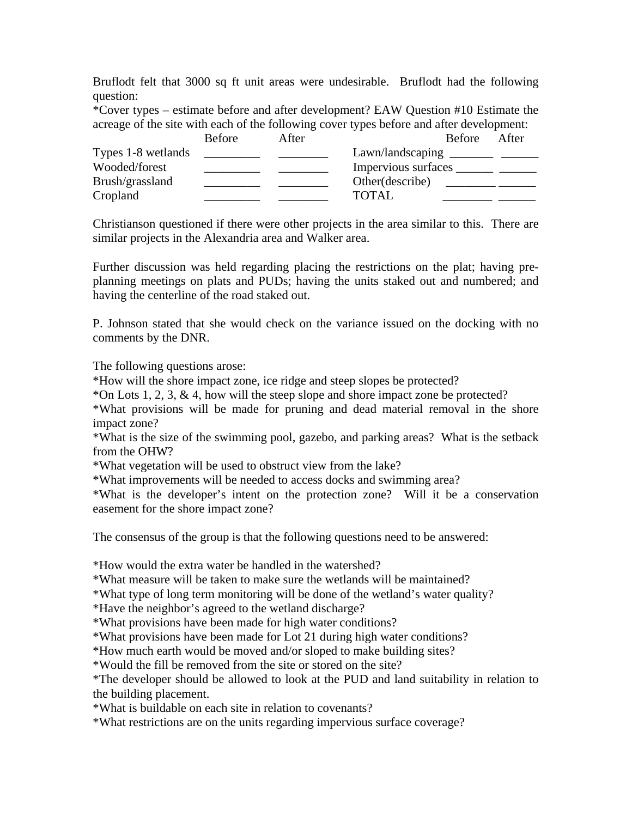Bruflodt felt that 3000 sq ft unit areas were undesirable. Bruflodt had the following question:

\*Cover types – estimate before and after development? EAW Question #10 Estimate the acreage of the site with each of the following cover types before and after development:

|                    | <b>Before</b> | After |                                  | Before After |  |
|--------------------|---------------|-------|----------------------------------|--------------|--|
| Types 1-8 wetlands |               |       | Lawn/landscaping _________ _____ |              |  |
| Wooded/forest      |               |       | Impervious surfaces              |              |  |
| Brush/grassland    |               |       | Other (describe)                 |              |  |
| Cropland           |               |       | <b>TOTAL</b>                     |              |  |

Christianson questioned if there were other projects in the area similar to this. There are similar projects in the Alexandria area and Walker area.

Further discussion was held regarding placing the restrictions on the plat; having preplanning meetings on plats and PUDs; having the units staked out and numbered; and having the centerline of the road staked out.

P. Johnson stated that she would check on the variance issued on the docking with no comments by the DNR.

The following questions arose:

\*How will the shore impact zone, ice ridge and steep slopes be protected?

\*On Lots 1, 2, 3, & 4, how will the steep slope and shore impact zone be protected?

\*What provisions will be made for pruning and dead material removal in the shore impact zone?

\*What is the size of the swimming pool, gazebo, and parking areas? What is the setback from the OHW?

\*What vegetation will be used to obstruct view from the lake?

\*What improvements will be needed to access docks and swimming area?

\*What is the developer's intent on the protection zone? Will it be a conservation easement for the shore impact zone?

The consensus of the group is that the following questions need to be answered:

\*How would the extra water be handled in the watershed?

\*What measure will be taken to make sure the wetlands will be maintained?

\*What type of long term monitoring will be done of the wetland's water quality?

\*Have the neighbor's agreed to the wetland discharge?

\*What provisions have been made for high water conditions?

\*What provisions have been made for Lot 21 during high water conditions?

\*How much earth would be moved and/or sloped to make building sites?

\*Would the fill be removed from the site or stored on the site?

\*The developer should be allowed to look at the PUD and land suitability in relation to the building placement.

\*What is buildable on each site in relation to covenants?

\*What restrictions are on the units regarding impervious surface coverage?